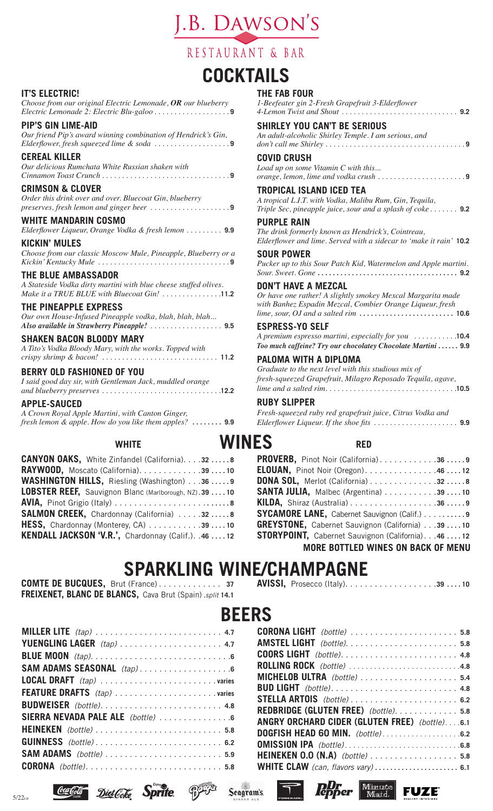.B. DAWSON'S

# RESTAURANT & BAR

# **COCKTAILS**

#### **IT'S ELECTRIC!**

*Choose from our original Electric Lemonade, OR our blueberry Electric Lemonade 2: Electric Blu-galoo . . . . . . . . . . . . . . . . . .* **9**

#### **PIP'S GIN LIME-AID**

*Our friend Pip's award winning combination of Hendrick's Gin, Elderflower, fresh squeezed lime & soda . . . . . . . . . . . . . . . . . .* **9**

#### **CEREAL KILLER**

*Our delicious Rumchata White Russian shaken with Cinnamon Toast Crunch . . . . . . . . . . . . . . . . . . . . . . . . . . . . . . .* **9**

#### **CRIMSON & CLOVER**

*Order this drink over and over. Bluecoat Gin, blueberry preserves, fresh lemon and ginger beer . . . . . . . . . . . . . . . . . . .* **9**

## **WHITE MANDARIN COSMO**

*Elderflower Liqueur, Orange Vodka & fresh lemon . . . . . . . . .* **9.9**

**KICKIN' MULES** *Choose from our classic Moscow Mule, Pineapple, Blueberry or a Kickin' Kentucky Mule . . . . . . . . . . . . . . . . . . . . . . . . . . . . . . . .* **9**

#### **THE BLUE AMBASSADOR**

*A Stateside Vodka dirty martini with blue cheese stuffed olives. Make it a TRUE BLUE with Bluecoat Gin! . . . . . . . . . . . . . .* **11.2**

#### **THE PINEAPPLE EXPRESS**

*Our own House-Infused Pineapple vodka, blah, blah, blah... Also available in Strawberry Pineapple! . . . . . . . . . . . . . . . . . .* **9.5**

#### **SHAKEN BACON BLOODY MARY**

*A Tito's Vodka Bloody Mary, with the works. Topped with crispy shrimp & bacon! . . . . . . . . . . . . . . . . . . . . . . . . . . . . .* **11.2**

#### **BERRY OLD FASHIONED OF YOU**

*I said good day sir, with Gentleman Jack, muddled orange and blueberry preserves . . . . . . . . . . . . . . . . . . . . . . . . . . . . .* **12.2**

**APPLE-SAUCED** *A Crown Royal Apple Martini, with Canton Ginger, fresh lemon & apple. How do you like them apples?***. . 9.9**

# WHITE **WIN**

| <b>CANYON OAKS, White Zinfandel (California). 32  8</b> |  |
|---------------------------------------------------------|--|
| RAYWOOD, Moscato (California). 39 10                    |  |
| WASHINGTON HILLS, Riesling (Washington) 36 9            |  |
| LOBSTER REEF, Sauvignon Blanc (Marlborough, NZ).39 10   |  |
|                                                         |  |
| <b>SALMON CREEK, Chardonnay (California) 328</b>        |  |
| HESS, Chardonnay (Monterey, CA) 39 10                   |  |
| KENDALL JACKSON 'V.R.', Chardonnay (Calif.). .46  12    |  |

# **THE FAB FOUR**

| NFS<br><b>RED</b>                                                                                                                                                                                                                                 |
|---------------------------------------------------------------------------------------------------------------------------------------------------------------------------------------------------------------------------------------------------|
| <b>RUBY SLIPPER</b><br>Fresh-squeezed ruby red grapefruit juice, Citrus Vodka and                                                                                                                                                                 |
| PALOMA WITH A DIPLOMA<br>Graduate to the next level with this studious mix of<br>fresh-squeezed Grapefruit, Milagro Reposado Tequila, agave,                                                                                                      |
| <b>ESPRESS-YO SELF</b><br>A premium espresso martini, especially for you 10.4<br>Too much caffeine? Try our chocolatey Chocolate Martini  9.9                                                                                                     |
| <b>DON'T HAVE A MEZCAL</b><br>Or have one rather! A slightly smokey Mexcal Margarita made<br>with Banhez Espadin Mezcal, Combier Orange Liqueur, fresh<br>lime, sour, OJ and a salted rim $\ldots \ldots \ldots \ldots \ldots \ldots \ldots$ 10.6 |
| <b>SOUR POWER</b><br>Pucker up to this Sour Patch Kid, Watermelon and Apple martini.                                                                                                                                                              |
| <b>PURPLE RAIN</b><br>The drink formerly known as Hendrick's, Cointreau,<br>Elderflower and lime. Served with a sidecar to 'make it rain' 10.2                                                                                                    |
| TROPICAL ISLAND ICED TEA<br>A tropical L.I.T. with Vodka, Malibu Rum, Gin, Tequila,<br>Triple Sec, pineapple juice, sour and a splash of coke  9.2                                                                                                |
| <b>COVID CRUSH</b><br>Load up on some Vitamin C with this<br>orange, lemon, lime and vodka crush 9                                                                                                                                                |
| <b>SHIRLEY YOU CAN'T BE SERIOUS</b><br>An adult-alcoholic Shirley Temple. I am serious, and                                                                                                                                                       |
| 1-Beefeater gin 2-Fresh Grapefruit 3-Elderflower                                                                                                                                                                                                  |

| <b>DONA SOL, Merlot (California) 328</b>            |
|-----------------------------------------------------|
| SANTA JULIA, Malbec (Argentina) 39 10               |
|                                                     |
| <b>SYCAMORE LANE, Cabernet Sauvignon (Calif.) 9</b> |
| GREYSTONE, Cabernet Sauvignon (California) 39 10    |
| STORYPOINT, Cabernet Sauvignon (California). 46 12  |
| <b>MORE BOTTLED WINES ON BACK OF MENU</b>           |

# **SPARKLING WINE/CHAMPAGNE**

**COMTE DE BUCQUES,** Brut (France) . . . . . . . . . . . . . **37 FREIXENET, BLANC DE BLANCS,** Cava Brut (Spain). *split* **14.1**

| SAM ADAMS SEASONAL (tap)        |
|---------------------------------|
|                                 |
|                                 |
|                                 |
| SIERRA NEVADA PALE ALE (bottle) |
|                                 |
| <b>GUINNESS</b> (bottle) 6.2    |
|                                 |
| <b>CORONA</b> (bottle) 5.8      |
|                                 |

 $\Box$  Diet Goke Sprite

|--|--|--|--|--|--|--|--|--|--|--|--|--|--|--|--|--|--|--|--|--|--|--|

# **BEERS**

Seagram's

| <b>CORONA LIGHT</b> (bottle) 5.8              |
|-----------------------------------------------|
|                                               |
|                                               |
| ROLLING ROCK (bottle) 4.8                     |
| MICHELOB ULTRA (bottle) 5.4                   |
|                                               |
|                                               |
| REDBRIDGE (GLUTEN FREE) (bottle). 5.8         |
| ANGRY ORCHARD CIDER (GLUTEN FREE) (bottle)6.1 |
|                                               |
|                                               |
| HEINEKEN 0.0 (N.A) (bottle) 5.8               |
| <b>WHITE CLAW</b> (can, flavors vary) 6.1     |
|                                               |

 $P_{\text{op}}$  Minute

**FUZE** 

 $\top$ 



Coca Cola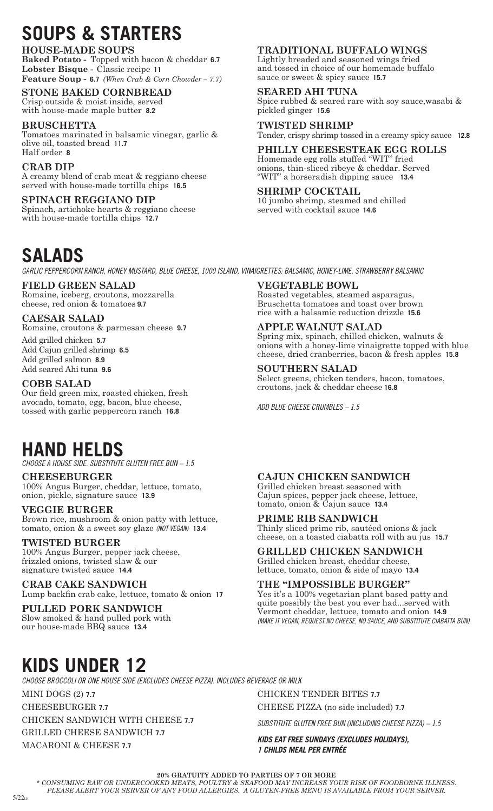# **SOUPS & STARTERS**

#### **HOUSE-MADE SOUPS**

**Baked Potato -** Topped with bacon & cheddar **6.7 Lobster Bisque -** Classic recipe **11 Feature Soup - 6.7** *(When Crab & Corn Chowder – 7.7)*

#### **STONE BAKED CORNBREAD**

Crisp outside & moist inside, served with house-made maple butter **8.2**

#### **BRUSCHETTA**

Tomatoes marinated in balsamic vinegar, garlic & olive oil, toasted bread **11.7** Half order **8**

## **CRAB DIP**

A creamy blend of crab meat & reggiano cheese served with house-made tortilla chips **16.5**

**SPINACH REGGIANO DIP** Spinach, artichoke hearts & reggiano cheese with house-made tortilla chips **12.7**

# **SALADS**

*GARLIC PEPPERCORN RANCH, HONEY MUSTARD, BLUE CHEESE, 1000 ISLAND, VINAIGRETTES: BALSAMIC, HONEY-LIME, STRAWBERRY BALSAMIC*

### **FIELD GREEN SALAD**

Romaine, iceberg, croutons, mozzarella cheese, red onion & tomatoes **9.7**

#### **CAESAR SALAD**

Romaine, croutons & parmesan cheese **9.7**

Add grilled chicken **5.7** Add Cajun grilled shrimp **6.5** Add grilled salmon **8.9** Add seared Ahi tuna **9.6**

#### **COBB SALAD**

Our field green mix, roasted chicken, fresh avocado, tomato, egg, bacon, blue cheese, tossed with garlic peppercorn ranch **16.8**

#### **TRADITIONAL BUFFALO WINGS**

Lightly breaded and seasoned wings fried and tossed in choice of our homemade buffalo sauce or sweet & spicy sauce **15.7**

#### **SEARED AHI TUNA**

Spice rubbed & seared rare with soy sauce,wasabi & pickled ginger **15.6**

**TWISTED SHRIMP** Tender, crispy shrimp tossed in a creamy spicy sauce **12.8**

**PHILLY CHEESESTEAK EGG ROLLS** Homemade egg rolls stuffed "WIT" fried onions, thin-sliced ribeye & cheddar. Served "WIT" a horseradish dipping sauce **13.4**

#### **SHRIMP COCKTAIL**

10 jumbo shrimp, steamed and chilled served with cocktail sauce **14.6**

#### **VEGETABLE BOWL**

Roasted vegetables, steamed asparagus, Bruschetta tomatoes and toast over brown rice with a balsamic reduction drizzle **15.6**

#### **APPLE WALNUT SALAD**

Spring mix, spinach, chilled chicken, walnuts & onions with a honey-lime vinaigrette topped with blue cheese, dried cranberries, bacon & fresh apples **15.8**

#### **SOUTHERN SALAD**

Select greens, chicken tenders, bacon, tomatoes, croutons, jack & cheddar cheese **16.8**

*ADD BLUE CHEESE CRUMBLES – 1.5* 

# **HAND HELDS**

*CHOOSE A HOUSE SIDE. SUBSTITUTE GLUTEN FREE BUN – 1.5*

#### **CHEESEBURGER**

100% Angus Burger, cheddar, lettuce, tomato, onion, pickle, signature sauce **13.9**

#### **VEGGIE BURGER**

Brown rice, mushroom & onion patty with lettuce, tomato, onion & a sweet soy glaze *(NOT VEGAN)* **13.4**

#### **TWISTED BURGER**

100% Angus Burger, pepper jack cheese, frizzled onions, twisted slaw & our signature twisted sauce **14.4**

## **CRAB CAKE SANDWICH**

Lump backfin crab cake, lettuce, tomato & onion **17**

#### **PULLED PORK SANDWICH** Slow smoked & hand pulled pork with

our house-made BBQ sauce **13.4**

#### **CAJUN CHICKEN SANDWICH**

Grilled chicken breast seasoned with Cajun spices, pepper jack cheese, lettuce, tomato, onion & Cajun sauce **13.4**

#### **PRIME RIB SANDWICH**

Thinly sliced prime rib, sautéed onions & jack cheese, on a toasted ciabatta roll with au jus **15.7**

#### **GRILLED CHICKEN SANDWICH** Grilled chicken breast, cheddar cheese,

lettuce, tomato, onion & side of mayo **13.4**

#### **THE "IMPOSSIBLE BURGER"**

Yes it's a 100% vegetarian plant based patty and quite possibly the best you ever had...served with Vermont cheddar, lettuce, tomato and onion **14.9** *(MAKE IT VEGAN, REQUEST NO CHEESE, NO SAUCE, AND SUBSTITUTE CIABATTA BUN)*

# **KIDS UNDER 12**

*CHOOSE BROCCOLI OR ONE HOUSE SIDE (EXCLUDES CHEESE PIZZA). INCLUDES BEVERAGE OR MILK*

MINI DOGS (2) **7.7**

CHEESEBURGER **7.7**

CHICKEN SANDWICH WITH CHEESE **7.7** GRILLED CHEESE SANDWICH **7.7**

MACARONI & CHEESE **7.7**

CHICKEN TENDER BITES **7.7**

CHEESE PIZZA (no side included) **7.7**

*SUBSTITUTE GLUTEN FREE BUN (INCLUDING CHEESE PIZZA) – 1.5*

*KIDS EAT FREE SUNDAYS (EXCLUDES HOLIDAYS), 1 CHILDS MEAL PER ENTRÉE*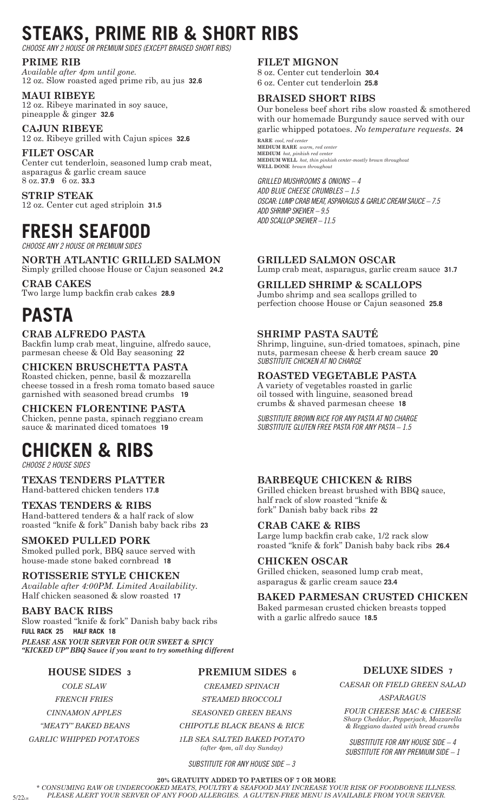# **STEAKS, PRIME RIB & SHORT RIBS**

*CHOOSE ANY 2 HOUSE OR PREMIUM SIDES (EXCEPT BRAISED SHORT RIBS)*

#### **PRIME RIB**

*Available after 4pm until gone.* 12 oz. Slow roasted aged prime rib, au jus **32.6**

**MAUI RIBEYE** 12 oz. Ribeye marinated in soy sauce, pineapple & ginger **32.6**

**CAJUN RIBEYE** 12 oz. Ribeye grilled with Cajun spices **32.6**

**FILET OSCAR**

Center cut tenderloin, seasoned lump crab meat, asparagus & garlic cream sauce 8 oz. **37.9** 6 oz. **33.3**

**STRIP STEAK** 12 oz. Center cut aged striploin **31.5**

# **FRESH SEAFOOD**

*CHOOSE ANY 2 HOUSE OR PREMIUM SIDES*

#### **NORTH ATLANTIC GRILLED SALMON** Simply grilled choose House or Cajun seasoned **24.2**

**CRAB CAKES** Two large lump backfin crab cakes **28.9**

# **PASTA**

### **CRAB ALFREDO PASTA**

Backfin lump crab meat, linguine, alfredo sauce, parmesan cheese & Old Bay seasoning **22**

## **CHICKEN BRUSCHETTA PASTA**

Roasted chicken, penne, basil & mozzarella cheese tossed in a fresh roma tomato based sauce garnished with seasoned bread crumbs **19**

## **CHICKEN FLORENTINE PASTA**

Chicken, penne pasta, spinach reggiano cream sauce & marinated diced tomatoes **19**

# **CHICKEN & RIBS**

*CHOOSE 2 HOUSE SIDES*

#### **TEXAS TENDERS PLATTER** Hand-battered chicken tenders **17.8**

**TEXAS TENDERS & RIBS** Hand-battered tenders & a half rack of slow roasted "knife & fork" Danish baby back ribs **23**

## **SMOKED PULLED PORK**

Smoked pulled pork, BBQ sauce served with house-made stone baked cornbread **18**

**ROTISSERIE STYLE CHICKEN** *Available after 4:00PM. Limited Availability.* Half chicken seasoned & slow roasted **17**

**BABY BACK RIBS** Slow roasted "knife & fork" Danish baby back ribs **FULL RACK 25 HALF RACK 18** *PLEASE ASK YOUR SERVER FOR OUR SWEET & SPICY "KICKED UP" BBQ Sauce if you want to try something different*

# **HOUSE SIDES 3**

*COLE SLAW*

*FRENCH FRIES*

*CINNAMON APPLES*

 *"MEATY" BAKED BEANS GARLIC WHIPPED POTATOES* 

 $5/22<sub>tu</sub>$ 

### **FILET MIGNON**

8 oz. Center cut tenderloin **30.4** 6 oz. Center cut tenderloin **25.8**

## **BRAISED SHORT RIBS**

Our boneless beef short ribs slow roasted & smothered with our homemade Burgundy sauce served with our garlic whipped potatoes. *No temperature requests.* **24**

**RARE** *cool, red center* **MEDIUM RARE** *warm, red center* **MEDIUM** *hot, pinkish red center* **MEDIUM WELL** *hot, thin pinkish center-mostly brown throughout* **WELL DONE** *brown throughout*

*GRILLED MUSHROOMS & ONIONS – 4 ADD BLUE CHEESE CRUMBLES – 1.5 OSCAR: LUMP CRAB MEAT, ASPARAGUS & GARLIC CREAM SAUCE – 7.5 ADD SHRIMP SKEWER – 9.5 ADD SCALLOP SKEWER – 11.5*

## **GRILLED SALMON OSCAR**

Lump crab meat, asparagus, garlic cream sauce **31.7**

## **GRILLED SHRIMP & SCALLOPS**

Jumbo shrimp and sea scallops grilled to perfection choose House or Cajun seasoned **25.8**

# **SHRIMP PASTA SAUTÉ**

Shrimp, linguine, sun-dried tomatoes, spinach, pine nuts, parmesan cheese & herb cream sauce **20** *SUBSTITUTE CHICKEN AT NO CHARGE*

## **ROASTED VEGETABLE PASTA**

A variety of vegetables roasted in garlic oil tossed with linguine, seasoned bread crumbs & shaved parmesan cheese **18**

*SUBSTITUTE BROWN RICE FOR ANY PASTA AT NO CHARGE SUBSTITUTE GLUTEN FREE PASTA FOR ANY PASTA – 1.5*

# **BARBEQUE CHICKEN & RIBS**

Grilled chicken breast brushed with BBQ sauce, half rack of slow roasted "knife & fork" Danish baby back ribs **22**

## **CRAB CAKE & RIBS**

Large lump backfin crab cake, 1/2 rack slow roasted "knife & fork" Danish baby back ribs **26.4**

## **CHICKEN OSCAR**

Grilled chicken, seasoned lump crab meat, asparagus & garlic cream sauce **23.4**

**BAKED PARMESAN CRUSTED CHICKEN**

Baked parmesan crusted chicken breasts topped with a garlic alfredo sauce **18.5**

**PREMIUM SIDES 6**

*CREAMED SPINACH STEAMED BROCCOLI*

*SEASONED GREEN BEANS* 

*CHIPOTLE BLACK BEANS & RICE*

*1LB SEA SALTED BAKED POTATO (after 4pm, all day Sunday)* 

*SUBSTITUTE FOR ANY HOUSE SIDE – 3*

#### **DELUXE SIDES 7**

*CAESAR OR FIELD GREEN SALAD*

*ASPARAGUS*

*FOUR CHEESE MAC & CHEESE Sharp Cheddar, Pepperjack, Mozzarella & Reggiano dusted with bread crumbs*

*SUBSTITUTE FOR ANY HOUSE SIDE – 4 SUBSTITUTE FOR ANY PREMIUM SIDE – 1*

**20% GRATUITY ADDED TO PARTIES OF 7 OR MORE**